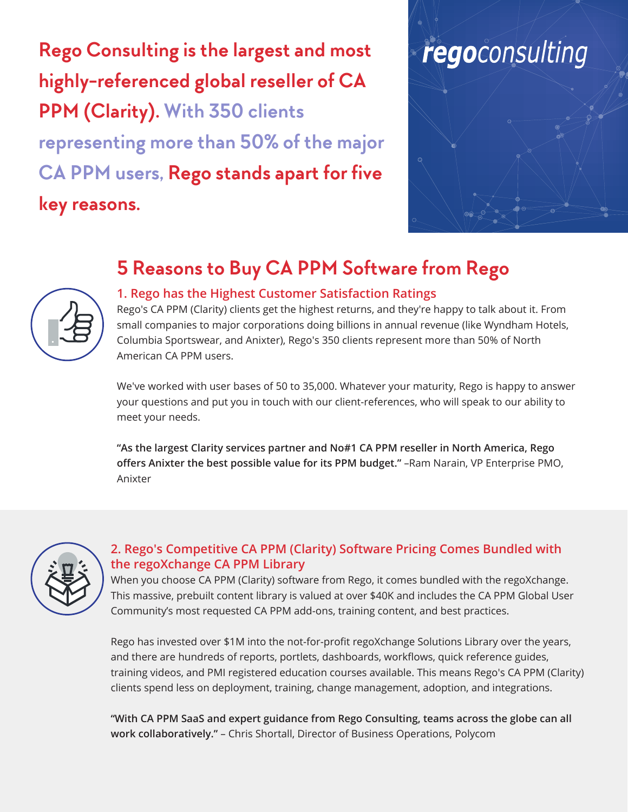**Rego Consulting is the largest and most highly-referenced global reseller of CA PPM (Clarity). With 350 clients representing more than 50% of the major CA PPM users, Rego stands apart for five key reasons.**

# regoconsulting



## **5 Reasons to Buy CA PPM Software from Rego**



#### **1. Rego has the Highest Customer Satisfaction Ratings**

Rego's CA PPM (Clarity) clients get the highest returns, and they're happy to talk about it. From small companies to major corporations doing billions in annual revenue (like Wyndham Hotels, Columbia Sportswear, and Anixter), Rego's 350 clients represent more than 50% of North American CA PPM users.

We've worked with user bases of 50 to 35,000. Whatever your maturity, Rego is happy to answer your questions and put you in touch with our client-references, who will speak to our ability to meet your needs.

**"As the largest Clarity services partner and No#1 CA PPM reseller in North America, Rego offers Anixter the best possible value for its PPM budget."** –Ram Narain, VP Enterprise PMO, Anixter



#### **2. Rego's Competitive CA PPM (Clarity) Software Pricing Comes Bundled with the regoXchange CA PPM Library**

When you choose CA PPM (Clarity) software from Rego, it comes bundled with the regoXchange. This massive, prebuilt content library is valued at over \$40K and includes the CA PPM Global User Community's most requested CA PPM add-ons, training content, and best practices.

Rego has invested over \$1M into the not-for-profit regoXchange Solutions Library over the years, and there are hundreds of reports, portlets, dashboards, workflows, quick reference guides, training videos, and PMI registered education courses available. This means Rego's CA PPM (Clarity) clients spend less on deployment, training, change management, adoption, and integrations.

**"With CA PPM SaaS and expert guidance from Rego Consulting, teams across the globe can all work collaboratively."** – Chris Shortall, Director of Business Operations, Polycom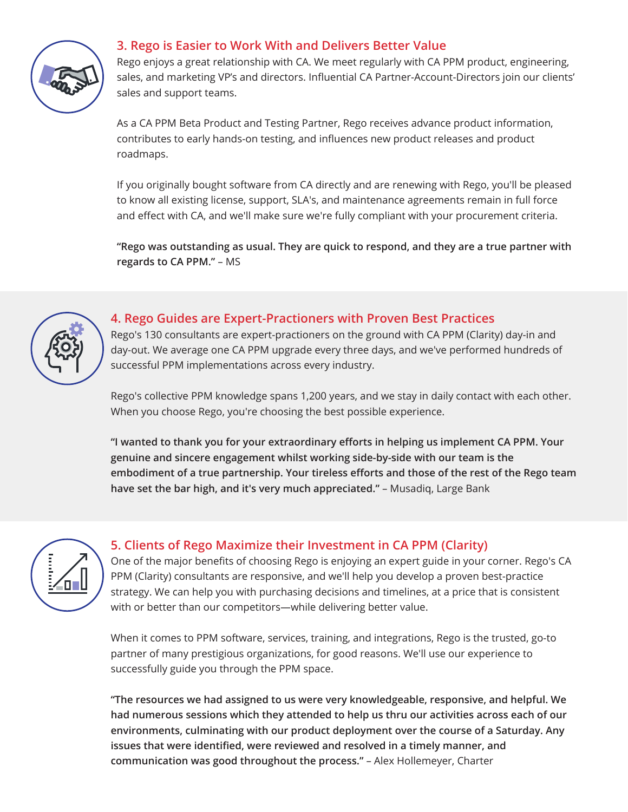

#### **3. Rego is Easier to Work With and Delivers Better Value**

Rego enjoys a great relationship with CA. We meet regularly with CA PPM product, engineering, sales, and marketing VP's and directors. Influential CA Partner-Account-Directors join our clients' sales and support teams.

As a CA PPM Beta Product and Testing Partner, Rego receives advance product information, contributes to early hands-on testing, and influences new product releases and product roadmaps.

If you originally bought software from CA directly and are renewing with Rego, you'll be pleased to know all existing license, support, SLA's, and maintenance agreements remain in full force and effect with CA, and we'll make sure we're fully compliant with your procurement criteria.

**"Rego was outstanding as usual. They are quick to respond, and they are a true partner with regards to CA PPM."** – MS



#### **4. Rego Guides are Expert-Practioners with Proven Best Practices**

Rego's 130 consultants are expert-practioners on the ground with CA PPM (Clarity) day-in and day-out. We average one CA PPM upgrade every three days, and we've performed hundreds of successful PPM implementations across every industry.

Rego's collective PPM knowledge spans 1,200 years, and we stay in daily contact with each other. When you choose Rego, you're choosing the best possible experience.

**"I wanted to thank you for your extraordinary efforts in helping us implement CA PPM. Your genuine and sincere engagement whilst working side-by-side with our team is the embodiment of a true partnership. Your tireless efforts and those of the rest of the Rego team have set the bar high, and it's very much appreciated."** – Musadiq, Large Bank



### **5. Clients of Rego Maximize their Investment in CA PPM (Clarity)**

One of the major benefits of choosing Rego is enjoying an expert guide in your corner. Rego's CA PPM (Clarity) consultants are responsive, and we'll help you develop a proven best-practice strategy. We can help you with purchasing decisions and timelines, at a price that is consistent with or better than our competitors—while delivering better value.

When it comes to PPM software, services, training, and integrations, Rego is the trusted, go-to partner of many prestigious organizations, for good reasons. We'll use our experience to successfully guide you through the PPM space.

**"The resources we had assigned to us were very knowledgeable, responsive, and helpful. We had numerous sessions which they attended to help us thru our activities across each of our environments, culminating with our product deployment over the course of a Saturday. Any issues that were identified, were reviewed and resolved in a timely manner, and communication was good throughout the process."** – Alex Hollemeyer, Charter